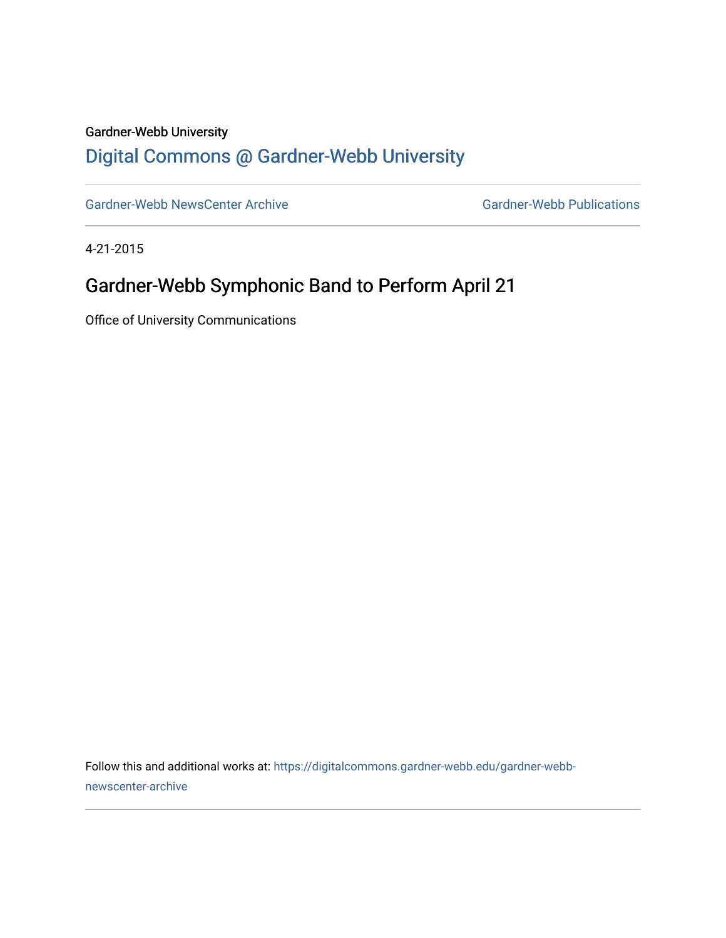#### Gardner-Webb University

## [Digital Commons @ Gardner-Webb University](https://digitalcommons.gardner-webb.edu/)

[Gardner-Webb NewsCenter Archive](https://digitalcommons.gardner-webb.edu/gardner-webb-newscenter-archive) Gardner-Webb Publications

4-21-2015

### Gardner-Webb Symphonic Band to Perform April 21

Office of University Communications

Follow this and additional works at: [https://digitalcommons.gardner-webb.edu/gardner-webb](https://digitalcommons.gardner-webb.edu/gardner-webb-newscenter-archive?utm_source=digitalcommons.gardner-webb.edu%2Fgardner-webb-newscenter-archive%2F1195&utm_medium=PDF&utm_campaign=PDFCoverPages)[newscenter-archive](https://digitalcommons.gardner-webb.edu/gardner-webb-newscenter-archive?utm_source=digitalcommons.gardner-webb.edu%2Fgardner-webb-newscenter-archive%2F1195&utm_medium=PDF&utm_campaign=PDFCoverPages)